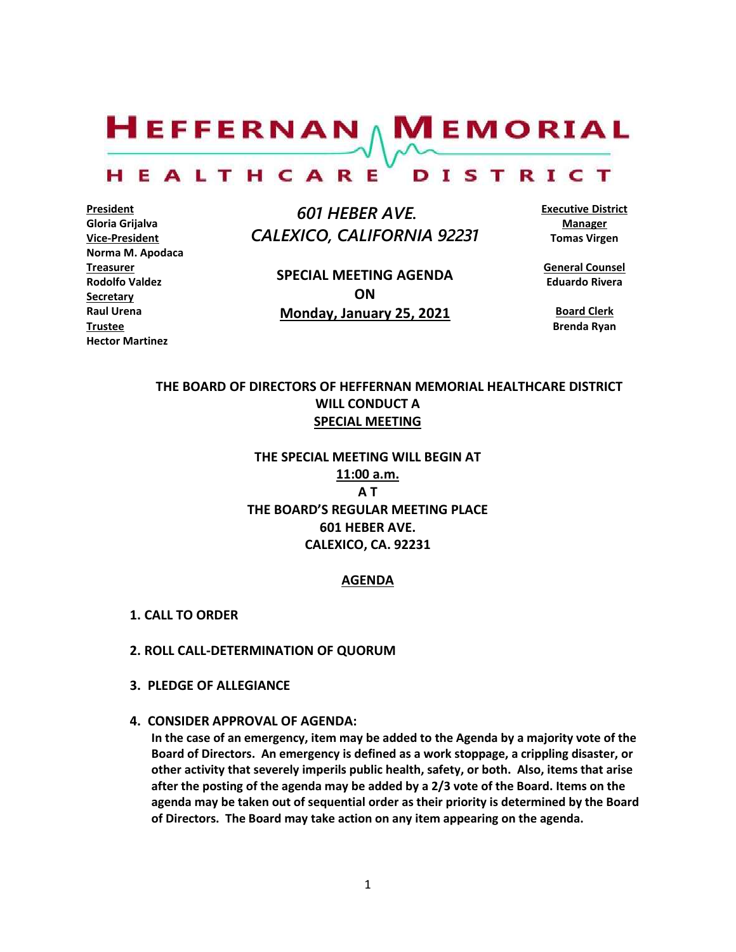$H$ EFFERNAN  $\wedge$  M EMORIAL HEALTHCARE DISTRICT

**President Gloria Grijalva Vice-President Norma M. Apodaca Treasurer Rodolfo Valdez Secretary Raul Urena Trustee Hector Martinez**

 *601 HEBER AVE. CALEXICO, CALIFORNIA 92231*

> **SPECIAL MEETING AGENDA ON Monday, January 25, 2021**

**Executive District Manager Tomas Virgen**

**General Counsel Eduardo Rivera**

> **Board Clerk Brenda Ryan**

## **THE BOARD OF DIRECTORS OF HEFFERNAN MEMORIAL HEALTHCARE DISTRICT WILL CONDUCT A SPECIAL MEETING**

# **THE SPECIAL MEETING WILL BEGIN AT 11:00 a.m. A T THE BOARD'S REGULAR MEETING PLACE 601 HEBER AVE. CALEXICO, CA. 92231**

#### **AGENDA**

- **1. CALL TO ORDER**
- **2. ROLL CALL-DETERMINATION OF QUORUM**
- **3. PLEDGE OF ALLEGIANCE**
- **4. CONSIDER APPROVAL OF AGENDA:**

**In the case of an emergency, item may be added to the Agenda by a majority vote of the Board of Directors. An emergency is defined as a work stoppage, a crippling disaster, or other activity that severely imperils public health, safety, or both. Also, items that arise after the posting of the agenda may be added by a 2/3 vote of the Board. Items on the agenda may be taken out of sequential order as their priority is determined by the Board of Directors. The Board may take action on any item appearing on the agenda.**